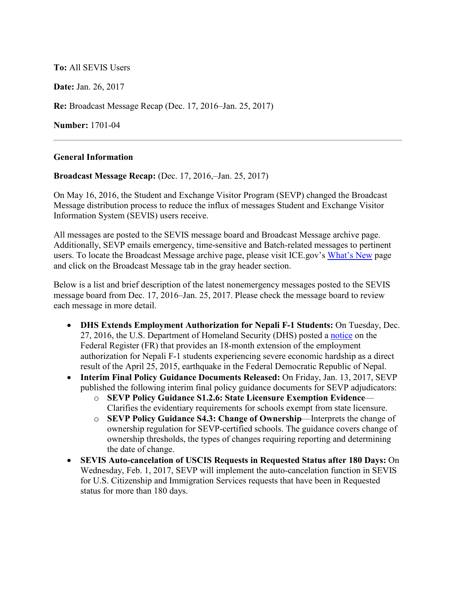## **To:** All SEVIS Users

**Date:** Jan. 26, 2017

**Re:** Broadcast Message Recap (Dec. 17, 2016–Jan. 25, 2017)

**Number:** 1701-04

## **General Information**

**Broadcast Message Recap:** (Dec. 17, 2016,–Jan. 25, 2017)

On May 16, 2016, the Student and Exchange Visitor Program (SEVP) changed the Broadcast Message distribution process to reduce the influx of messages Student and Exchange Visitor Information System (SEVIS) users receive.

All messages are posted to the SEVIS message board and Broadcast Message archive page. Additionally, SEVP emails emergency, time-sensitive and Batch-related messages to pertinent users. To locate the Broadcast Message archive page, please visit ICE.gov's [What's New](https://www.ice.gov/sevis/whats-new) page and click on the Broadcast Message tab in the gray header section.

Below is a list and brief description of the latest nonemergency messages posted to the SEVIS message board from Dec. 17, 2016–Jan. 25, 2017. Please check the message board to review each message in more detail.

- **DHS Extends Employment Authorization for Nepali F-1 Students:** On Tuesday, Dec. 27, 2016, the U.S. Department of Homeland Security (DHS) posted a [notice](https://www.federalregister.gov/documents/2016/12/27/2016-31158/extension-of-employment-authorization-for-nepali-f-1-nonimmigrant-students-experiencing-severe) on the Federal Register (FR) that provides an 18-month extension of the employment authorization for Nepali F-1 students experiencing severe economic hardship as a direct result of the April 25, 2015, earthquake in the Federal Democratic Republic of Nepal.
- **Interim Final Policy Guidance Documents Released:** On Friday, Jan. 13, 2017, SEVP published the following interim final policy guidance documents for SEVP adjudicators:
	- o **SEVP Policy Guidance S1.2.6: State Licensure Exemption Evidence** Clarifies the evidentiary requirements for schools exempt from state licensure.
	- o **SEVP Policy Guidance S4.3: Change of Ownership**—Interprets the change of ownership regulation for SEVP-certified schools. The guidance covers change of ownership thresholds, the types of changes requiring reporting and determining the date of change.
- **SEVIS Auto-cancelation of USCIS Requests in Requested Status after 180 Days:** On Wednesday, Feb. 1, 2017, SEVP will implement the auto-cancelation function in SEVIS for U.S. Citizenship and Immigration Services requests that have been in Requested status for more than 180 days.